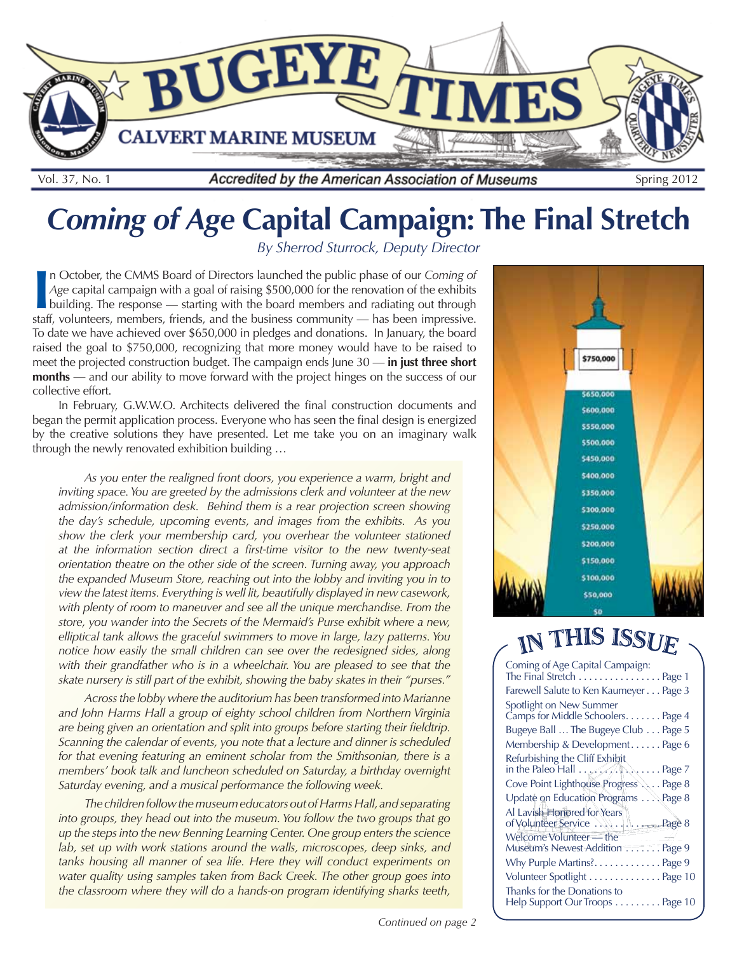

# *Coming of Age* **Capital Campaign: The Final Stretch**

*By Sherrod Sturrock, Deputy Director*

I**I** n October, the CMMS Board of Directors launched the public phase of our *Coming of Age* capital campaign with a goal of raising \$500,000 for the renovation of the exhibits building. The response — starting with the bo n October, the CMMS Board of Directors launched the public phase of our *Coming of Age* capital campaign with a goal of raising \$500,000 for the renovation of the exhibits building. The response — starting with the board members and radiating out through To date we have achieved over \$650,000 in pledges and donations. In January, the board raised the goal to \$750,000, recognizing that more money would have to be raised to meet the projected construction budget. The campaign ends June 30 — **in just three short months** — and our ability to move forward with the project hinges on the success of our collective effort.

In February, G.W.W.O. Architects delivered the final construction documents and began the permit application process. Everyone who has seen the final design is energized by the creative solutions they have presented. Let me take you on an imaginary walk through the newly renovated exhibition building …

*As you enter the realigned front doors, you experience a warm, bright and inviting space. You are greeted by the admissions clerk and volunteer at the new admission/information desk. Behind them is a rear projection screen showing the day's schedule, upcoming events, and images from the exhibits. As you show the clerk your membership card, you overhear the volunteer stationed at the information section direct a first-time visitor to the new twenty-seat orientation theatre on the other side of the screen. Turning away, you approach the expanded Museum Store, reaching out into the lobby and inviting you in to view the latest items. Everything is well lit, beautifully displayed in new casework, with plenty of room to maneuver and see all the unique merchandise. From the store, you wander into the Secrets of the Mermaid's Purse exhibit where a new, elliptical tank allows the graceful swimmers to move in large, lazy patterns. You notice how easily the small children can see over the redesigned sides, along* with their grandfather who is in a wheelchair. You are pleased to see that the *skate nursery is still part of the exhibit, showing the baby skates in their "purses."*

*Across the lobby where the auditorium has been transformed into Marianne and John Harms Hall a group of eighty school children from Northern Virginia are being given an orientation and split into groups before starting their fieldtrip. Scanning the calendar of events, you note that a lecture and dinner is scheduled for that evening featuring an eminent scholar from the Smithsonian, there is a members' book talk and luncheon scheduled on Saturday, a birthday overnight Saturday evening, and a musical performance the following week.* 

*The children follow the museum educators out of Harms Hall, and separating into groups, they head out into the museum. You follow the two groups that go up the steps into the new Benning Learning Center. One group enters the science*  lab, set up with work stations around the walls, microscopes, deep sinks, and tanks housing all manner of sea life. Here they will conduct experiments on *water quality using samples taken from Back Creek. The other group goes into the classroom where they will do a hands-on program identifying sharks teeth,*



# IN THIS ISSUE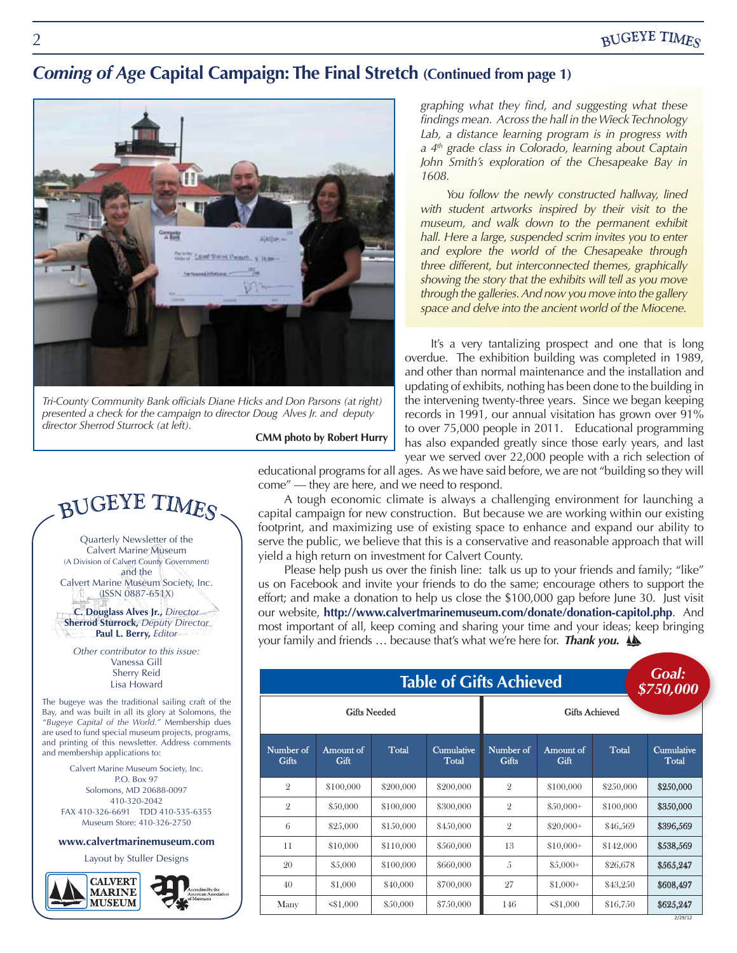### *Coming of Age* **Capital Campaign: The Final Stretch (Continued from page 1)**



*Tri-County Community Bank officials Diane Hicks and Don Parsons (at right) presented a check for the campaign to director Doug Alves Jr. and deputy director Sherrod Sturrock (at left).*

**CMM photo by Robert Hurry**

*graphing what they find, and suggesting what these findings mean. Across the hall in the Wieck Technology Lab, a distance learning program is in progress with a 4th grade class in Colorado, learning about Captain John Smith's exploration of the Chesapeake Bay in 1608.* 

You follow the newly constructed hallway, lined *with student artworks inspired by their visit to the museum, and walk down to the permanent exhibit hall. Here a large, suspended scrim invites you to enter and explore the world of the Chesapeake through three different, but interconnected themes, graphically showing the story that the exhibits will tell as you move through the galleries. And now you move into the gallery space and delve into the ancient world of the Miocene.*

It's a very tantalizing prospect and one that is long overdue. The exhibition building was completed in 1989, and other than normal maintenance and the installation and updating of exhibits, nothing has been done to the building in the intervening twenty-three years. Since we began keeping records in 1991, our annual visitation has grown over 91% to over 75,000 people in 2011. Educational programming has also expanded greatly since those early years, and last year we served over 22,000 people with a rich selection of

educational programs for all ages. As we have said before, we are not "building so they will come" — they are here, and we need to respond.

A tough economic climate is always a challenging environment for launching a capital campaign for new construction. But because we are working within our existing footprint, and maximizing use of existing space to enhance and expand our ability to serve the public, we believe that this is a conservative and reasonable approach that will yield a high return on investment for Calvert County.

most important of all, keep coming and sharing your time and your ideas; keep bringing **Table of Gifts Achieved**  your family and friends … because that's what we're here for. *Thank you.* Please help push us over the finish line: talk us up to your friends and family; "like" us on Facebook and invite your friends to do the same; encourage others to support the effort; and make a donation to help us close the \$100,000 gap before June 30. Just visit our website, **http://www.calvertmarinemuseum.com/donate/donation-capitol.php**. And

| <b>Table of Gifts Achieved</b> |                   |           |                            |                           |                   |              | Goal:<br>\$750,000  |  |
|--------------------------------|-------------------|-----------|----------------------------|---------------------------|-------------------|--------------|---------------------|--|
| <b>Gifts Needed</b>            |                   |           |                            | <b>Gifts Achieved</b>     |                   |              |                     |  |
| Number of<br><b>Gifts</b>      | Amount of<br>Gift | Total     | <b>Cumulative</b><br>Total | Number of<br><b>Gifts</b> | Amount of<br>Gift | <b>Total</b> | Cumulative<br>Total |  |
| $\overline{2}$                 | \$100,000         | \$200,000 | \$200,000                  | $\overline{2}$            | \$100,000         | \$250,000    | \$250,000           |  |
| $\overline{2}$                 | \$50,000          | \$100,000 | \$300,000                  | $\overline{2}$            | $$50,000+$        | \$100,000    | \$350,000           |  |
| 6                              | \$25,000          | \$150,000 | \$450,000                  | $\overline{2}$            | $$20,000+$        | \$46,569     | \$396,569           |  |
| 11                             | \$10,000          | \$110,000 | \$560,000                  | 13                        | $$10,000+$        | \$142,000    | \$538,569           |  |
| 20                             | \$5,000           | \$100,000 | \$660,000                  | 5                         | $$5,000+$         | \$26,678     | \$565,247           |  |
| 40                             | \$1,000           | \$40,000  | \$700,000                  | 27                        | $$1,000+$         | \$43,250     | \$608,497           |  |
| Many                           | < 1,000           | \$50,000  | \$750,000                  | 146                       | < 1.000           | \$16,750     | \$625,247           |  |
|                                |                   |           |                            |                           |                   |              | 2/29/12             |  |



Quarterly Newsletter of the Calvert Marine Museum (A Division of Calvert County Government) and the Calvert Marine Museum Society, Inc.

(ISSN 0887-651X) **C. Douglass Alves Jr.,** *Director* **Sherrod Sturrock,** *Deputy Director*

**Paul L. Berry,** *Editor Other contributor to this issue:* Vanessa Gill

Sherry Reid Lisa Howard

The bugeye was the traditional sailing craft of the Bay, and was built in all its glory at Solomons, the *"Bugeye Capital of the World."* Membership dues are used to fund special museum projects, programs, and printing of this newsletter. Address comments and membership applications to:

> Calvert Marine Museum Society, Inc. P.O. Box 97 Solomons, MD 20688-0097 410-320-2042 FAX 410-326-6691 TDD 410-535-6355 Museum Store: 410-326-2750

#### **www.calvertmarinemuseum.com**

Layout by Stuller Designs

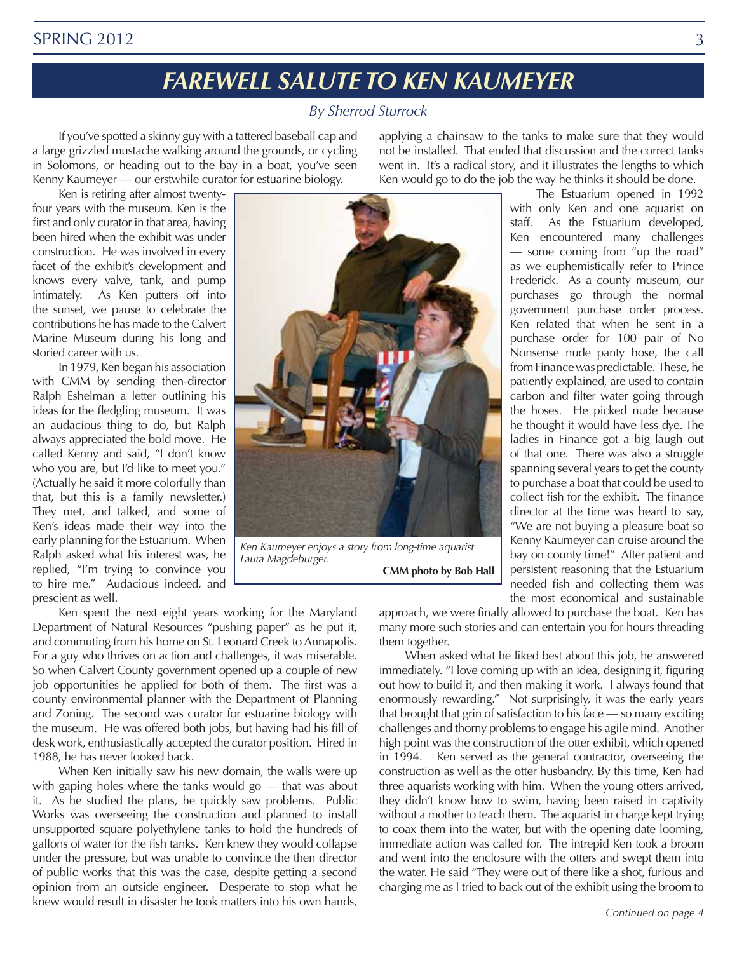#### SPRING 2012 3

# *FAREWELL SALUTE TO KEN KAUMEYER*

#### *By Sherrod Sturrock*

If you've spotted a skinny guy with a tattered baseball cap and a large grizzled mustache walking around the grounds, or cycling in Solomons, or heading out to the bay in a boat, you've seen Kenny Kaumeyer — our erstwhile curator for estuarine biology.

Ken is retiring after almost twentyfour years with the museum. Ken is the first and only curator in that area, having been hired when the exhibit was under construction. He was involved in every facet of the exhibit's development and knows every valve, tank, and pump intimately. As Ken putters off into the sunset, we pause to celebrate the contributions he has made to the Calvert Marine Museum during his long and storied career with us.

In 1979, Ken began his association with CMM by sending then-director Ralph Eshelman a letter outlining his ideas for the fledgling museum. It was an audacious thing to do, but Ralph always appreciated the bold move. He called Kenny and said, "I don't know who you are, but I'd like to meet you." (Actually he said it more colorfully than that, but this is a family newsletter.) They met, and talked, and some of Ken's ideas made their way into the early planning for the Estuarium. When Ralph asked what his interest was, he replied, "I'm trying to convince you to hire me." Audacious indeed, and prescient as well.



*Ken Kaumeyer enjoys a story from long-time aquarist Laura Magdeburger.* **CMM photo by Bob Hall**

approach, we were finally allowed to purchase the boat. Ken has many more such stories and can entertain you for hours threading

them together. When asked what he liked best about this job, he answered immediately. "I love coming up with an idea, designing it, figuring out how to build it, and then making it work. I always found that enormously rewarding." Not surprisingly, it was the early years that brought that grin of satisfaction to his face — so many exciting challenges and thorny problems to engage his agile mind. Another high point was the construction of the otter exhibit, which opened in 1994. Ken served as the general contractor, overseeing the construction as well as the otter husbandry. By this time, Ken had three aquarists working with him. When the young otters arrived, they didn't know how to swim, having been raised in captivity without a mother to teach them. The aquarist in charge kept trying to coax them into the water, but with the opening date looming, immediate action was called for. The intrepid Ken took a broom and went into the enclosure with the otters and swept them into the water. He said "They were out of there like a shot, furious and charging me as I tried to back out of the exhibit using the broom to

Ken spent the next eight years working for the Maryland Department of Natural Resources "pushing paper" as he put it, and commuting from his home on St. Leonard Creek to Annapolis. For a guy who thrives on action and challenges, it was miserable. So when Calvert County government opened up a couple of new job opportunities he applied for both of them. The first was a county environmental planner with the Department of Planning and Zoning. The second was curator for estuarine biology with the museum. He was offered both jobs, but having had his fill of desk work, enthusiastically accepted the curator position. Hired in 1988, he has never looked back.

When Ken initially saw his new domain, the walls were up with gaping holes where the tanks would go — that was about it. As he studied the plans, he quickly saw problems. Public Works was overseeing the construction and planned to install unsupported square polyethylene tanks to hold the hundreds of gallons of water for the fish tanks. Ken knew they would collapse under the pressure, but was unable to convince the then director of public works that this was the case, despite getting a second opinion from an outside engineer. Desperate to stop what he knew would result in disaster he took matters into his own hands,

applying a chainsaw to the tanks to make sure that they would not be installed. That ended that discussion and the correct tanks went in. It's a radical story, and it illustrates the lengths to which Ken would go to do the job the way he thinks it should be done.

> The Estuarium opened in 1992 with only Ken and one aquarist on staff. As the Estuarium developed, Ken encountered many challenges — some coming from "up the road" as we euphemistically refer to Prince Frederick. As a county museum, our purchases go through the normal government purchase order process. Ken related that when he sent in a purchase order for 100 pair of No Nonsense nude panty hose, the call from Finance was predictable. These, he patiently explained, are used to contain carbon and filter water going through the hoses. He picked nude because he thought it would have less dye. The ladies in Finance got a big laugh out of that one. There was also a struggle spanning several years to get the county to purchase a boat that could be used to collect fish for the exhibit. The finance director at the time was heard to say, "We are not buying a pleasure boat so Kenny Kaumeyer can cruise around the bay on county time!" After patient and persistent reasoning that the Estuarium needed fish and collecting them was the most economical and sustainable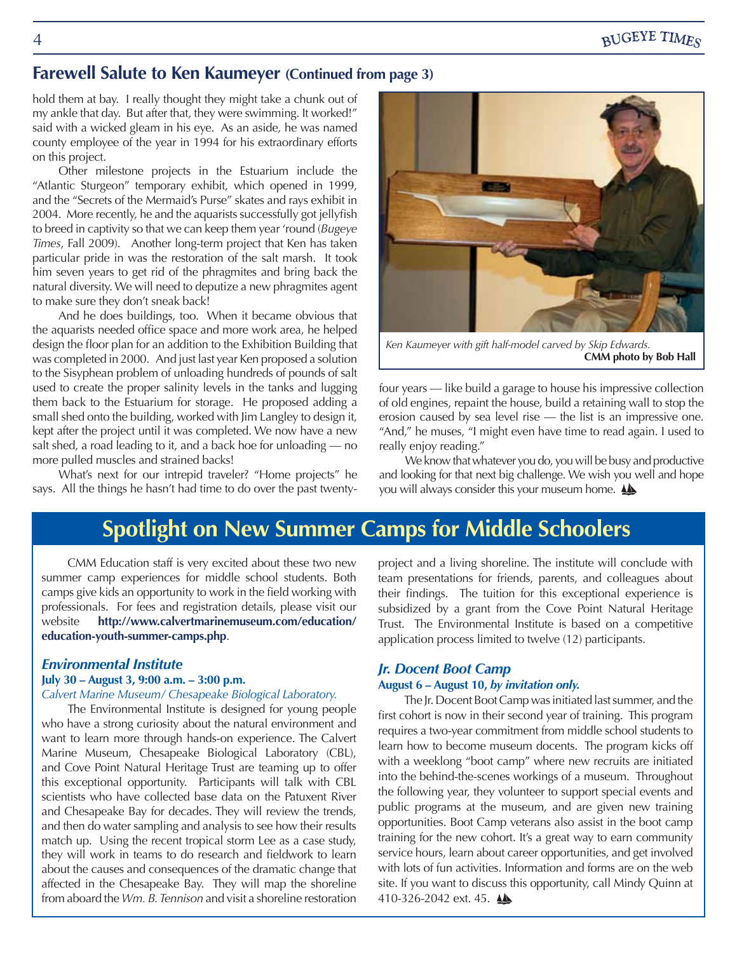### **Farewell Salute to Ken Kaumeyer (Continued from page 3)**

hold them at bay. I really thought they might take a chunk out of my ankle that day. But after that, they were swimming. It worked!" said with a wicked gleam in his eye. As an aside, he was named county employee of the year in 1994 for his extraordinary efforts on this project.

Other milestone projects in the Estuarium include the "Atlantic Sturgeon" temporary exhibit, which opened in 1999, and the "Secrets of the Mermaid's Purse" skates and rays exhibit in 2004. More recently, he and the aquarists successfully got jellyfish to breed in captivity so that we can keep them year 'round (*Bugeye Times*, Fall 2009).Another long-term project that Ken has taken particular pride in was the restoration of the salt marsh. It took him seven years to get rid of the phragmites and bring back the natural diversity. We will need to deputize a new phragmites agent to make sure they don't sneak back!

And he does buildings, too. When it became obvious that the aquarists needed office space and more work area, he helped design the floor plan for an addition to the Exhibition Building that was completed in 2000. And just last year Ken proposed a solution to the Sisyphean problem of unloading hundreds of pounds of salt used to create the proper salinity levels in the tanks and lugging them back to the Estuarium for storage. He proposed adding a small shed onto the building, worked with Jim Langley to design it, kept after the project until it was completed. We now have a new salt shed, a road leading to it, and a back hoe for unloading — no more pulled muscles and strained backs!

What's next for our intrepid traveler? "Home projects" he says. All the things he hasn't had time to do over the past twenty-



*Ken Kaumeyer with gift half-model carved by Skip Edwards.* **CMM photo by Bob Hall**

four years — like build a garage to house his impressive collection of old engines, repaint the house, build a retaining wall to stop the erosion caused by sea level rise — the list is an impressive one. "And," he muses, "I might even have time to read again. I used to really enjoy reading."

We know that whatever you do, you will be busy and productive and looking for that next big challenge. We wish you well and hope you will always consider this your museum home.

## **Spotlight on New Summer Camps for Middle Schoolers**

CMM Education staff is very excited about these two new summer camp experiences for middle school students. Both camps give kids an opportunity to work in the field working with professionals. For fees and registration details, please visit our website **http://www.calvertmarinemuseum.com/education/ education-youth-summer-camps.php**.

#### *Environmental Institute* **July 30 – August 3, 9:00 a.m. – 3:00 p.m.**

#### *Calvert Marine Museum/ Chesapeake Biological Laboratory.*

The Environmental Institute is designed for young people who have a strong curiosity about the natural environment and want to learn more through hands-on experience. The Calvert Marine Museum, Chesapeake Biological Laboratory (CBL), and Cove Point Natural Heritage Trust are teaming up to offer this exceptional opportunity. Participants will talk with CBL scientists who have collected base data on the Patuxent River and Chesapeake Bay for decades. They will review the trends, and then do water sampling and analysis to see how their results match up. Using the recent tropical storm Lee as a case study, they will work in teams to do research and fieldwork to learn about the causes and consequences of the dramatic change that affected in the Chesapeake Bay. They will map the shoreline from aboard the *Wm. B. Tennison* and visit a shoreline restoration project and a living shoreline. The institute will conclude with team presentations for friends, parents, and colleagues about their findings.The tuition for this exceptional experience is subsidized by a grant from the Cove Point Natural Heritage Trust. The Environmental Institute is based on a competitive application process limited to twelve (12) participants.

#### *Jr. Docent Boot Camp*

#### **August 6 – August 10,** *by invitation only.*

The Jr. Docent Boot Camp was initiated last summer, and the first cohort is now in their second year of training. This program requires a two-year commitment from middle school students to learn how to become museum docents. The program kicks off with a weeklong "boot camp" where new recruits are initiated into the behind-the-scenes workings of a museum. Throughout the following year, they volunteer to support special events and public programs at the museum, and are given new training opportunities. Boot Camp veterans also assist in the boot camp training for the new cohort. It's a great way to earn community service hours, learn about career opportunities, and get involved with lots of fun activities. Information and forms are on the web site. If you want to discuss this opportunity, call Mindy Quinn at 410-326-2042 ext. 45.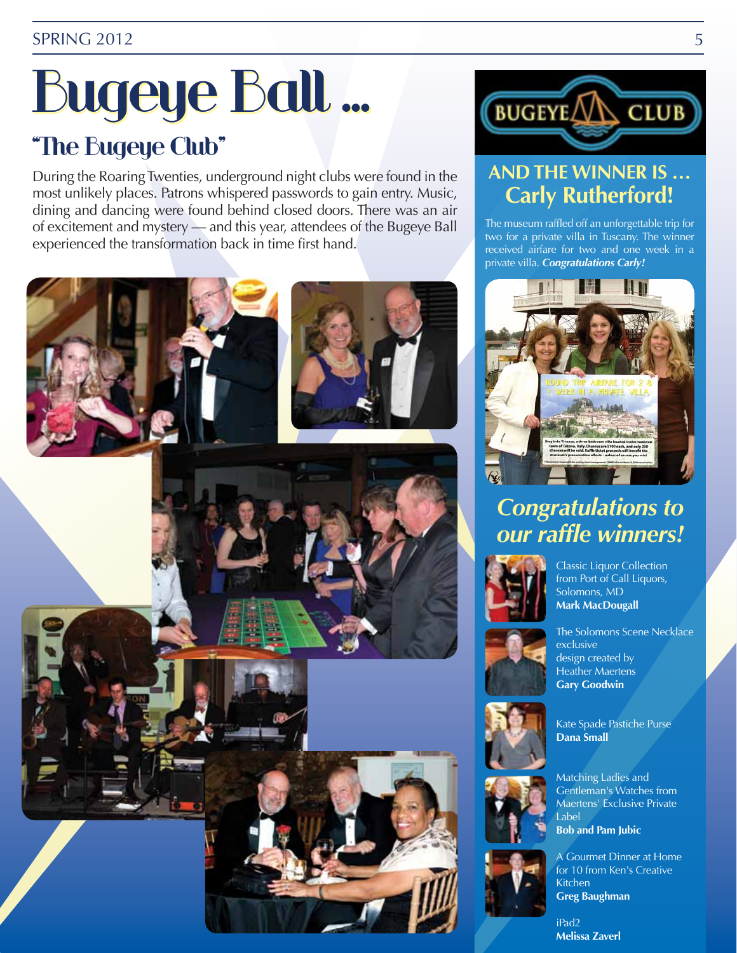# Bugeye Ball … Bugeye Ball … "The Bugeye Club"

During the Roaring Twenties, underground night clubs were found in the most unlikely places. Patrons whispered passwords to gain entry. Music, dining and dancing were found behind closed doors. There was an air of excitement and mystery — and this year, attendees of the Bugeye Ball experienced the transformation back in time first hand.









# **AND THE WINNER IS … Carly Rutherford!**

The museum raffled off an unforgettable trip for two for a private villa in Tuscany. The winner received airfare for two and one week in a private villa. *Congratulations Carly!*



# *Congratulations to our raffle winners!*



Classic Liquor Collection from Port of Call Liquors, Solomons, MD **Mark MacDougall**



The Solomons Scene Necklace exclusive design created by Heather Maertens **Gary Goodwin**



Kate Spade Pastiche Purse **Dana Small**



A Gourmet Dinner at Home for 10 from Ken's Creative Kitchen **Greg Baughman**

iPad2 **Melissa Zaverl**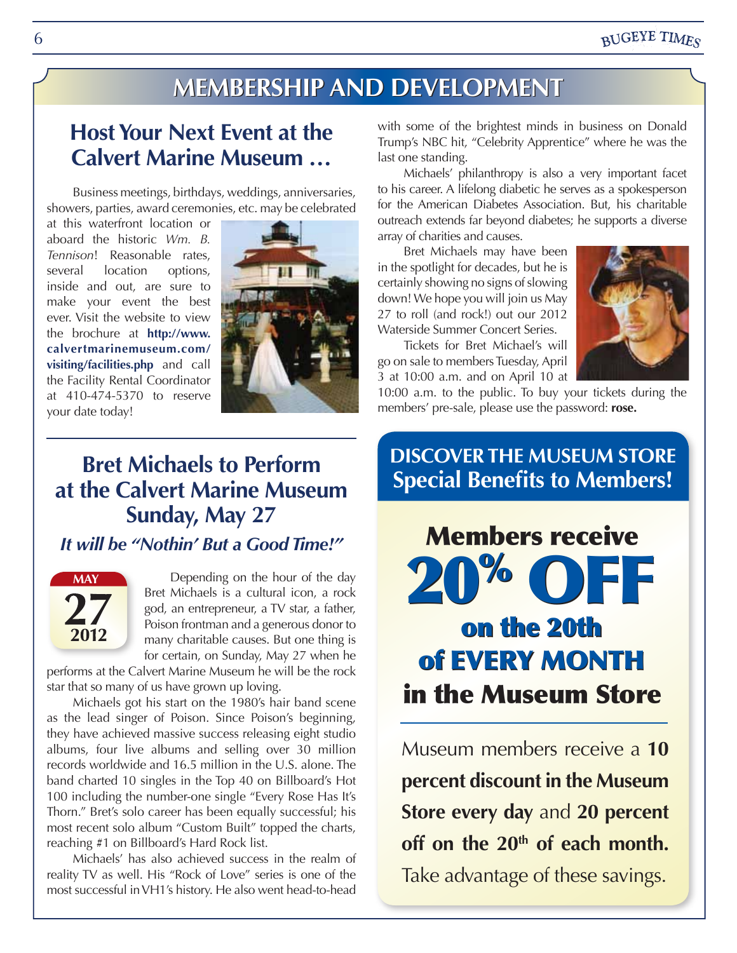### **BUGEYE TIMES**

# **Membership embershipand and Deevelelopment pment**

### **Host Your Next Event at the Calvert Marine Museum …**

Business meetings, birthdays, weddings, anniversaries, showers, parties, award ceremonies, etc. may be celebrated

at this waterfront location or aboard the historic *Wm. B. Tennison*! Reasonable rates, several location options, inside and out, are sure to make your event the best ever. Visit the website to view the brochure at **http://www. calvertmarinemuseum.com/ visiting/facilities.php** and call the Facility Rental Coordinator at 410-474-5370 to reserve your date today!



# **Bret Michaels to Perform at the Calvert Marine Museum Sunday, May 27**

*It will be "Nothin' But a Good Time!"*



Depending on the hour of the day Bret Michaels is a cultural icon, a rock god, an entrepreneur, a TV star, a father, Poison frontman and a generous donor to many charitable causes. But one thing is for certain, on Sunday, May 27 when he

performs at the Calvert Marine Museum he will be the rock star that so many of us have grown up loving.

Michaels got his start on the 1980's hair band scene as the lead singer of Poison. Since Poison's beginning, they have achieved massive success releasing eight studio albums, four live albums and selling over 30 million records worldwide and 16.5 million in the U.S. alone. The band charted 10 singles in the Top 40 on Billboard's Hot 100 including the number-one single "Every Rose Has It's Thorn." Bret's solo career has been equally successful; his most recent solo album "Custom Built" topped the charts, reaching #1 on Billboard's Hard Rock list.

Michaels' has also achieved success in the realm of reality TV as well. His "Rock of Love" series is one of the most successful in VH1's history. He also went head-to-head with some of the brightest minds in business on Donald Trump's NBC hit, "Celebrity Apprentice" where he was the last one standing.

Michaels' philanthropy is also a very important facet to his career. A lifelong diabetic he serves as a spokesperson for the American Diabetes Association. But, his charitable outreach extends far beyond diabetes; he supports a diverse array of charities and causes.

Bret Michaels may have been in the spotlight for decades, but he is certainly showing no signs of slowing down! We hope you will join us May 27 to roll (and rock!) out our 2012 Waterside Summer Concert Series.



Tickets for Bret Michael's will go on sale to members Tuesday, April 3 at 10:00 a.m. and on April 10 at

10:00 a.m. to the public. To buy your tickets during the members' pre-sale, please use the password: **rose.** 

### **Discover the Museum Store Special Benefits to Members!**

Members receive 20% off on the 20th on the 20th of EVERY MONTH in the Museum Store 20% off

Museum members receive a **10 percent discount in the Museum Store every day** and **20 percent**  off on the 20<sup>th</sup> of each month. Take advantage of these savings.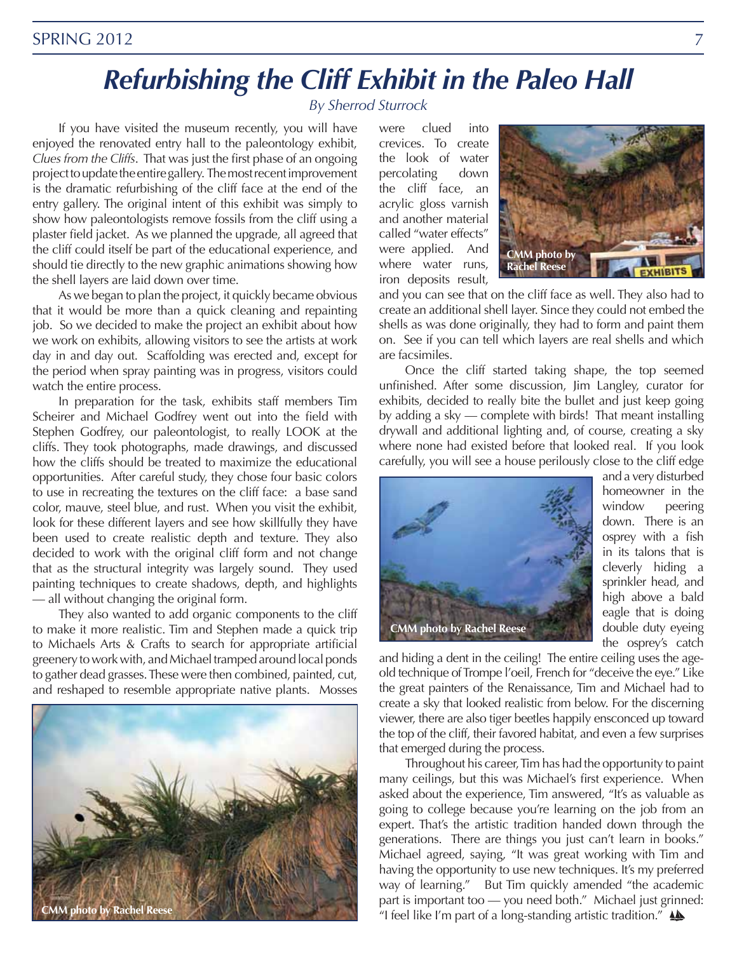# *Refurbishing the Cliff Exhibit in the Paleo Hall*

*By Sherrod Sturrock*

If you have visited the museum recently, you will have enjoyed the renovated entry hall to the paleontology exhibit, *Clues from the Cliffs*. That was just the first phase of an ongoing project to update the entire gallery. The most recent improvement is the dramatic refurbishing of the cliff face at the end of the entry gallery. The original intent of this exhibit was simply to show how paleontologists remove fossils from the cliff using a plaster field jacket. As we planned the upgrade, all agreed that the cliff could itself be part of the educational experience, and should tie directly to the new graphic animations showing how the shell layers are laid down over time.

As we began to plan the project, it quickly became obvious that it would be more than a quick cleaning and repainting job. So we decided to make the project an exhibit about how we work on exhibits, allowing visitors to see the artists at work day in and day out. Scaffolding was erected and, except for the period when spray painting was in progress, visitors could watch the entire process.

In preparation for the task, exhibits staff members Tim Scheirer and Michael Godfrey went out into the field with Stephen Godfrey, our paleontologist, to really LOOK at the cliffs. They took photographs, made drawings, and discussed how the cliffs should be treated to maximize the educational opportunities. After careful study, they chose four basic colors to use in recreating the textures on the cliff face: a base sand color, mauve, steel blue, and rust. When you visit the exhibit, look for these different layers and see how skillfully they have been used to create realistic depth and texture. They also decided to work with the original cliff form and not change that as the structural integrity was largely sound. They used painting techniques to create shadows, depth, and highlights — all without changing the original form.

They also wanted to add organic components to the cliff to make it more realistic. Tim and Stephen made a quick trip to Michaels Arts & Crafts to search for appropriate artificial greenery to work with, and Michael tramped around local ponds to gather dead grasses. These were then combined, painted, cut, and reshaped to resemble appropriate native plants. Mosses



were clued into crevices. To create the look of water percolating down the cliff face, an acrylic gloss varnish and another material called "water effects" were applied. And where water runs, iron deposits result,



and you can see that on the cliff face as well. They also had to create an additional shell layer. Since they could not embed the shells as was done originally, they had to form and paint them on. See if you can tell which layers are real shells and which are facsimiles.

Once the cliff started taking shape, the top seemed unfinished. After some discussion, Jim Langley, curator for exhibits, decided to really bite the bullet and just keep going by adding a sky — complete with birds! That meant installing drywall and additional lighting and, of course, creating a sky where none had existed before that looked real. If you look carefully, you will see a house perilously close to the cliff edge



and a very disturbed homeowner in the window peering down. There is an osprey with a fish in its talons that is cleverly hiding a sprinkler head, and high above a bald eagle that is doing double duty eyeing the osprey's catch

and hiding a dent in the ceiling! The entire ceiling uses the ageold technique of Trompe l'oeil, French for "deceive the eye." Like the great painters of the Renaissance, Tim and Michael had to create a sky that looked realistic from below. For the discerning viewer, there are also tiger beetles happily ensconced up toward the top of the cliff, their favored habitat, and even a few surprises that emerged during the process.

Throughout his career, Tim has had the opportunity to paint many ceilings, but this was Michael's first experience. When asked about the experience, Tim answered, "It's as valuable as going to college because you're learning on the job from an expert. That's the artistic tradition handed down through the generations. There are things you just can't learn in books." Michael agreed, saying, "It was great working with Tim and having the opportunity to use new techniques. It's my preferred way of learning." But Tim quickly amended "the academic part is important too — you need both." Michael just grinned: "I feel like I'm part of a long-standing artistic tradition." **LA**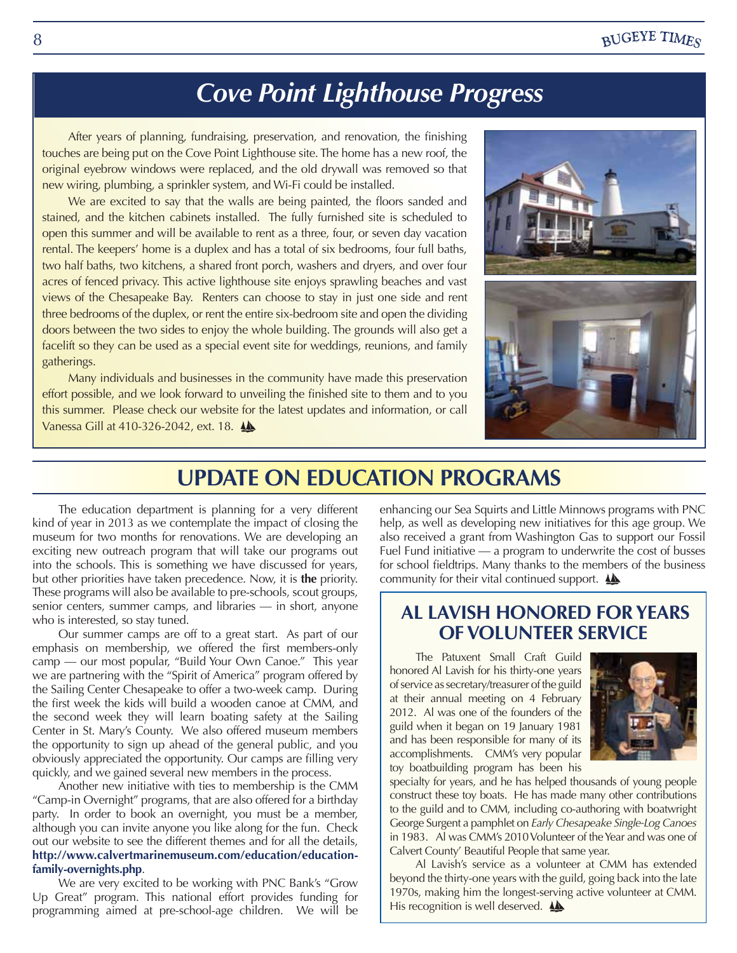# *Cove Point Lighthouse Progress*

After years of planning, fundraising, preservation, and renovation, the finishing touches are being put on the Cove Point Lighthouse site. The home has a new roof, the original eyebrow windows were replaced, and the old drywall was removed so that new wiring, plumbing, a sprinkler system, and Wi-Fi could be installed.

We are excited to say that the walls are being painted, the floors sanded and stained, and the kitchen cabinets installed. The fully furnished site is scheduled to open this summer and will be available to rent as a three, four, or seven day vacation rental. The keepers' home is a duplex and has a total of six bedrooms, four full baths, two half baths, two kitchens, a shared front porch, washers and dryers, and over four acres of fenced privacy. This active lighthouse site enjoys sprawling beaches and vast views of the Chesapeake Bay. Renters can choose to stay in just one side and rent three bedrooms of the duplex, or rent the entire six-bedroom site and open the dividing doors between the two sides to enjoy the whole building. The grounds will also get a facelift so they can be used as a special event site for weddings, reunions, and family gatherings.

Many individuals and businesses in the community have made this preservation effort possible, and we look forward to unveiling the finished site to them and to you this summer. Please check our website for the latest updates and information, or call Vanessa Gill at 410-326-2042, ext. 18.



### **UPDATE ON EDUCATION PROGRAMS**

The education department is planning for a very different kind of year in 2013 as we contemplate the impact of closing the museum for two months for renovations. We are developing an exciting new outreach program that will take our programs out into the schools. This is something we have discussed for years, but other priorities have taken precedence. Now, it is **the** priority. These programs will also be available to pre-schools, scout groups, senior centers, summer camps, and libraries — in short, anyone who is interested, so stay tuned.

Our summer camps are off to a great start. As part of our emphasis on membership, we offered the first members-only camp — our most popular, "Build Your Own Canoe." This year we are partnering with the "Spirit of America" program offered by the Sailing Center Chesapeake to offer a two-week camp. During the first week the kids will build a wooden canoe at CMM, and the second week they will learn boating safety at the Sailing Center in St. Mary's County. We also offered museum members the opportunity to sign up ahead of the general public, and you obviously appreciated the opportunity. Our camps are filling very quickly, and we gained several new members in the process.

Another new initiative with ties to membership is the CMM "Camp-in Overnight" programs, that are also offered for a birthday party. In order to book an overnight, you must be a member, although you can invite anyone you like along for the fun. Check out our website to see the different themes and for all the details, **http://www.calvertmarinemuseum.com/education/educationfamily-overnights.php**.

We are very excited to be working with PNC Bank's "Grow Up Great" program. This national effort provides funding for programming aimed at pre-school-age children. We will be

enhancing our Sea Squirts and Little Minnows programs with PNC help, as well as developing new initiatives for this age group. We also received a grant from Washington Gas to support our Fossil Fuel Fund initiative — a program to underwrite the cost of busses for school fieldtrips. Many thanks to the members of the business community for their vital continued support.  $\triangle$ 

### **AL LAVISH HONORED FOR YEARS OF VOLUNTEER SERVICE**

The Patuxent Small Craft Guild honored Al Lavish for his thirty-one years of service as secretary/treasurer of the guild at their annual meeting on 4 February 2012. Al was one of the founders of the guild when it began on 19 January 1981 and has been responsible for many of its accomplishments. CMM's very popular toy boatbuilding program has been his



specialty for years, and he has helped thousands of young people construct these toy boats. He has made many other contributions to the guild and to CMM, including co-authoring with boatwright George Surgent a pamphlet on *Early Chesapeake Single-Log Canoes* in 1983. Al was CMM's 2010 Volunteer of the Year and was one of Calvert County' Beautiful People that same year.

Al Lavish's service as a volunteer at CMM has extended beyond the thirty-one years with the guild, going back into the late 1970s, making him the longest-serving active volunteer at CMM. His recognition is well deserved.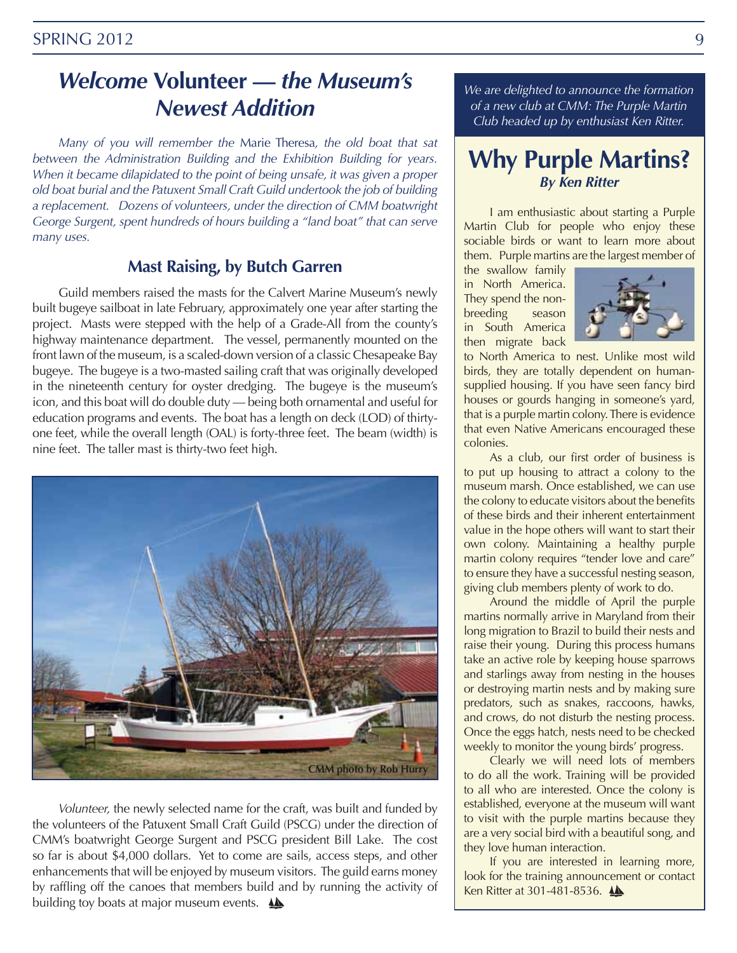# *Welcome* **Volunteer —** *the Museum's Newest Addition*

*Many of you will remember the* Marie Theresa*, the old boat that sat between the Administration Building and the Exhibition Building for years. When it became dilapidated to the point of being unsafe, it was given a proper old boat burial and the Patuxent Small Craft Guild undertook the job of building a replacement. Dozens of volunteers, under the direction of CMM boatwright George Surgent, spent hundreds of hours building a "land boat" that can serve many uses.* 

### **Mast Raising, by Butch Garren**

Guild members raised the masts for the Calvert Marine Museum's newly built bugeye sailboat in late February, approximately one year after starting the project. Masts were stepped with the help of a Grade-All from the county's highway maintenance department. The vessel, permanently mounted on the front lawn of the museum, is a scaled-down version of a classic Chesapeake Bay bugeye. The bugeye is a two-masted sailing craft that was originally developed in the nineteenth century for oyster dredging. The bugeye is the museum's icon, and this boat will do double duty — being both ornamental and useful for education programs and events. The boat has a length on deck (LOD) of thirtyone feet, while the overall length (OAL) is forty-three feet. The beam (width) is nine feet. The taller mast is thirty-two feet high.



*Volunteer,* the newly selected name for the craft, was built and funded by the volunteers of the Patuxent Small Craft Guild (PSCG) under the direction of CMM's boatwright George Surgent and PSCG president Bill Lake. The cost so far is about \$4,000 dollars. Yet to come are sails, access steps, and other enhancements that will be enjoyed by museum visitors. The guild earns money by raffling off the canoes that members build and by running the activity of building toy boats at major museum events.  $\triangle$ 

*We are delighted to announce the formation of a new club at CMM: The Purple Martin Club headed up by enthusiast Ken Ritter.* 

### **Why Purple Martins?**  *By Ken Ritter*

I am enthusiastic about starting a Purple Martin Club for people who enjoy these sociable birds or want to learn more about them. Purple martins are the largest member of

the swallow family in North America. They spend the nonbreeding season in South America then migrate back



to North America to nest. Unlike most wild birds, they are totally dependent on humansupplied housing. If you have seen fancy bird houses or gourds hanging in someone's yard, that is a purple martin colony. There is evidence that even Native Americans encouraged these colonies.

As a club, our first order of business is to put up housing to attract a colony to the museum marsh. Once established, we can use the colony to educate visitors about the benefits of these birds and their inherent entertainment value in the hope others will want to start their own colony. Maintaining a healthy purple martin colony requires "tender love and care" to ensure they have a successful nesting season, giving club members plenty of work to do.

Around the middle of April the purple martins normally arrive in Maryland from their long migration to Brazil to build their nests and raise their young. During this process humans take an active role by keeping house sparrows and starlings away from nesting in the houses or destroying martin nests and by making sure predators, such as snakes, raccoons, hawks, and crows, do not disturb the nesting process. Once the eggs hatch, nests need to be checked weekly to monitor the young birds' progress.

Clearly we will need lots of members to do all the work. Training will be provided to all who are interested. Once the colony is established, everyone at the museum will want to visit with the purple martins because they are a very social bird with a beautiful song, and they love human interaction.

If you are interested in learning more, look for the training announcement or contact Ken Ritter at 301-481-8536.